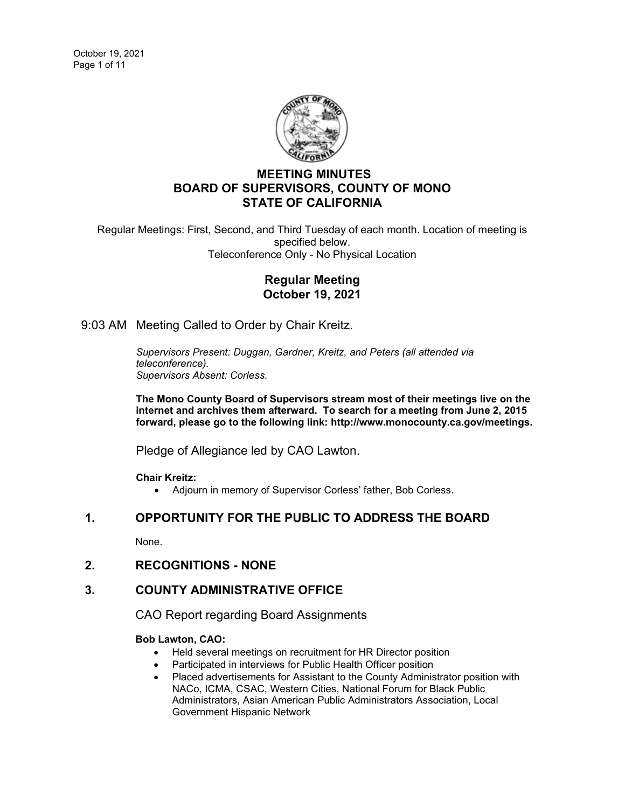

# **MEETING MINUTES BOARD OF SUPERVISORS, COUNTY OF MONO STATE OF CALIFORNIA**

Regular Meetings: First, Second, and Third Tuesday of each month. Location of meeting is specified below. Teleconference Only - No Physical Location

# **Regular Meeting October 19, 2021**

9:03 AM Meeting Called to Order by Chair Kreitz.

*Supervisors Present: Duggan, Gardner, Kreitz, and Peters (all attended via teleconference). Supervisors Absent: Corless.*

**The Mono County Board of Supervisors stream most of their meetings live on the internet and archives them afterward. To search for a meeting from June 2, 2015 forward, please go to the following link: [http://www.monocounty.ca.gov/meetings.](http://www.monocounty.ca.gov/meetings)**

Pledge of Allegiance led by CAO Lawton.

**Chair Kreitz:**

• Adjourn in memory of Supervisor Corless' father, Bob Corless.

# **1. OPPORTUNITY FOR THE PUBLIC TO ADDRESS THE BOARD**

None.

**2. RECOGNITIONS - NONE**

# **3. COUNTY ADMINISTRATIVE OFFICE**

CAO Report regarding Board Assignments

### **Bob Lawton, CAO:**

- Held several meetings on recruitment for HR Director position
- Participated in interviews for Public Health Officer position
- Placed advertisements for Assistant to the County Administrator position with NACo, ICMA, CSAC, Western Cities, National Forum for Black Public Administrators, Asian American Public Administrators Association, Local Government Hispanic Network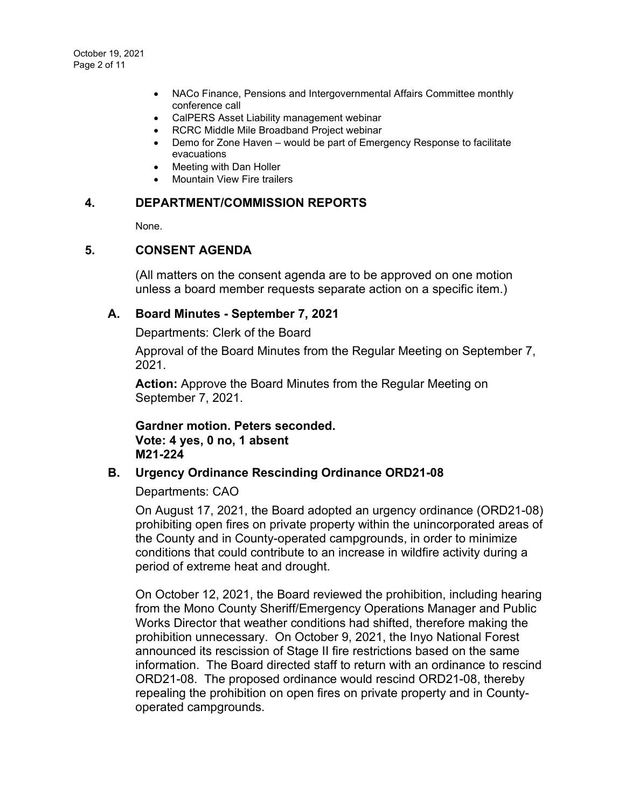- NACo Finance, Pensions and Intergovernmental Affairs Committee monthly conference call
- CalPERS Asset Liability management webinar
- RCRC Middle Mile Broadband Project webinar
- Demo for Zone Haven would be part of Emergency Response to facilitate evacuations
- Meeting with Dan Holler
- Mountain View Fire trailers

### **4. DEPARTMENT/COMMISSION REPORTS**

None.

# **5. CONSENT AGENDA**

(All matters on the consent agenda are to be approved on one motion unless a board member requests separate action on a specific item.)

## **A. Board Minutes - [September 7, 2021](https://agenda.mono.ca.gov/AgendaWeb/CoverSheet.aspx?ItemID=13643&MeetingID=804)**

Departments: Clerk of the Board

Approval of the Board Minutes from the Regular Meeting on September 7, 2021.

**Action:** Approve the Board Minutes from the Regular Meeting on September 7, 2021.

**Gardner motion. Peters seconded. Vote: 4 yes, 0 no, 1 absent M21-224**

# **B. [Urgency Ordinance Rescinding Ordinance ORD21-08](https://agenda.mono.ca.gov/AgendaWeb/CoverSheet.aspx?ItemID=13693&MeetingID=804)**

Departments: CAO

On August 17, 2021, the Board adopted an urgency ordinance (ORD21-08) prohibiting open fires on private property within the unincorporated areas of the County and in County-operated campgrounds, in order to minimize conditions that could contribute to an increase in wildfire activity during a period of extreme heat and drought.

On October 12, 2021, the Board reviewed the prohibition, including hearing from the Mono County Sheriff/Emergency Operations Manager and Public Works Director that weather conditions had shifted, therefore making the prohibition unnecessary. On October 9, 2021, the Inyo National Forest announced its rescission of Stage II fire restrictions based on the same information. The Board directed staff to return with an ordinance to rescind ORD21-08. The proposed ordinance would rescind ORD21-08, thereby repealing the prohibition on open fires on private property and in Countyoperated campgrounds.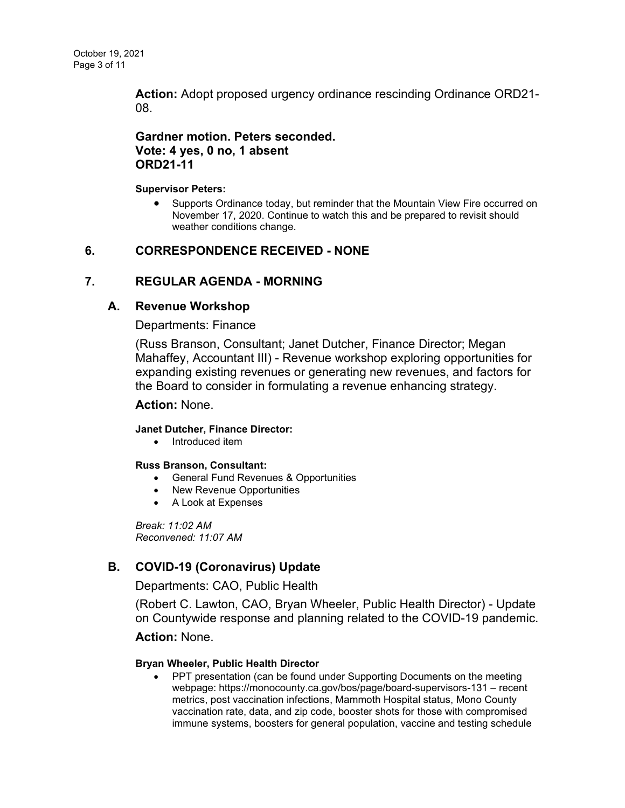**Action:** Adopt proposed urgency ordinance rescinding Ordinance ORD21- 08.

# **Gardner motion. Peters seconded. Vote: 4 yes, 0 no, 1 absent ORD21-11**

#### **Supervisor Peters:**

• Supports Ordinance today, but reminder that the Mountain View Fire occurred on November 17, 2020. Continue to watch this and be prepared to revisit should weather conditions change.

# **6. CORRESPONDENCE RECEIVED - NONE**

# **7. REGULAR AGENDA - MORNING**

## **A. [Revenue Workshop](https://agenda.mono.ca.gov/AgendaWeb/CoverSheet.aspx?ItemID=13441&MeetingID=804)**

### Departments: Finance

(Russ Branson, Consultant; Janet Dutcher, Finance Director; Megan Mahaffey, Accountant III) - Revenue workshop exploring opportunities for expanding existing revenues or generating new revenues, and factors for the Board to consider in formulating a revenue enhancing strategy.

#### **Action:** None.

#### **Janet Dutcher, Finance Director:**

• Introduced item

#### **Russ Branson, Consultant:**

- General Fund Revenues & Opportunities
- New Revenue Opportunities
- A Look at Expenses

*Break: 11:02 AM Reconvened: 11:07 AM*

# **B. [COVID-19 \(Coronavirus\) Update](https://agenda.mono.ca.gov/AgendaWeb/CoverSheet.aspx?ItemID=13571&MeetingID=804)**

Departments: CAO, Public Health

(Robert C. Lawton, CAO, Bryan Wheeler, Public Health Director) - Update on Countywide response and planning related to the COVID-19 pandemic.

### **Action:** None.

#### **Bryan Wheeler, Public Health Director**

• PPT presentation (can be found under Supporting Documents on the meeting webpage: https://monocounty.ca.gov/bos/page/board-supervisors-131 – recent metrics, post vaccination infections, Mammoth Hospital status, Mono County vaccination rate, data, and zip code, booster shots for those with compromised immune systems, boosters for general population, vaccine and testing schedule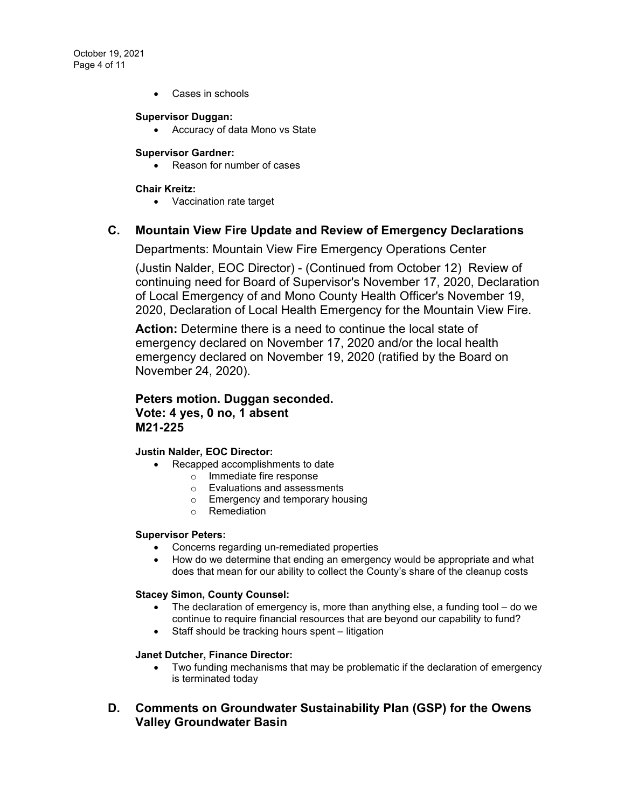October 19, 2021 Page 4 of 11

• Cases in schools

#### **Supervisor Duggan:**

• Accuracy of data Mono vs State

#### **Supervisor Gardner:**

• Reason for number of cases

#### **Chair Kreitz:**

• Vaccination rate target

### **C. [Mountain View Fire Update and Review of Emergency Declarations](https://agenda.mono.ca.gov/AgendaWeb/CoverSheet.aspx?ItemID=13700&MeetingID=804)**

Departments: Mountain View Fire Emergency Operations Center

(Justin Nalder, EOC Director) - (Continued from October 12) Review of continuing need for Board of Supervisor's November 17, 2020, Declaration of Local Emergency of and Mono County Health Officer's November 19, 2020, Declaration of Local Health Emergency for the Mountain View Fire.

**Action:** Determine there is a need to continue the local state of emergency declared on November 17, 2020 and/or the local health emergency declared on November 19, 2020 (ratified by the Board on November 24, 2020).

# **Peters motion. Duggan seconded. Vote: 4 yes, 0 no, 1 absent M21-225**

#### **Justin Nalder, EOC Director:**

- Recapped accomplishments to date
	- o Immediate fire response
	- o Evaluations and assessments
	- o Emergency and temporary housing
	- o Remediation

#### **Supervisor Peters:**

- Concerns regarding un-remediated properties
- How do we determine that ending an emergency would be appropriate and what does that mean for our ability to collect the County's share of the cleanup costs

#### **Stacey Simon, County Counsel:**

- The declaration of emergency is, more than anything else, a funding tool do we continue to require financial resources that are beyond our capability to fund?
- Staff should be tracking hours spent litigation

#### **Janet Dutcher, Finance Director:**

• Two funding mechanisms that may be problematic if the declaration of emergency is terminated today

# **D. [Comments on Groundwater Sustainability Plan \(GSP\) for the Owens](https://agenda.mono.ca.gov/AgendaWeb/CoverSheet.aspx?ItemID=13634&MeetingID=804)  [Valley Groundwater Basin](https://agenda.mono.ca.gov/AgendaWeb/CoverSheet.aspx?ItemID=13634&MeetingID=804)**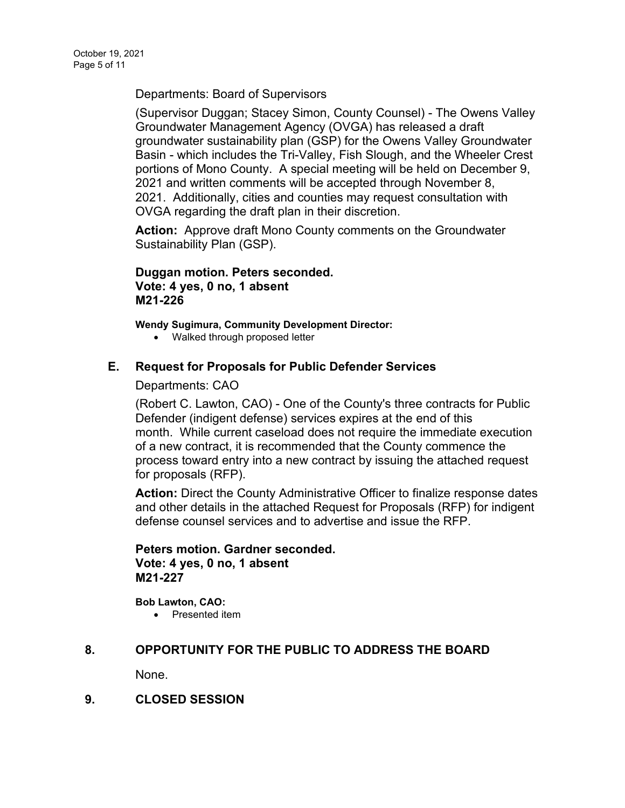Departments: Board of Supervisors

(Supervisor Duggan; Stacey Simon, County Counsel) - The Owens Valley Groundwater Management Agency (OVGA) has released a draft groundwater sustainability plan (GSP) for the Owens Valley Groundwater Basin - which includes the Tri-Valley, Fish Slough, and the Wheeler Crest portions of Mono County. A special meeting will be held on December 9, 2021 and written comments will be accepted through November 8, 2021. Additionally, cities and counties may request consultation with OVGA regarding the draft plan in their discretion.

**Action:** Approve draft Mono County comments on the Groundwater Sustainability Plan (GSP).

**Duggan motion. Peters seconded. Vote: 4 yes, 0 no, 1 absent M21-226**

**Wendy Sugimura, Community Development Director:**

• Walked through proposed letter

## **E. [Request for Proposals for Public Defender Services](https://agenda.mono.ca.gov/AgendaWeb/CoverSheet.aspx?ItemID=13687&MeetingID=804)**

Departments: CAO

(Robert C. Lawton, CAO) - One of the County's three contracts for Public Defender (indigent defense) services expires at the end of this month. While current caseload does not require the immediate execution of a new contract, it is recommended that the County commence the process toward entry into a new contract by issuing the attached request for proposals (RFP).

**Action:** Direct the County Administrative Officer to finalize response dates and other details in the attached Request for Proposals (RFP) for indigent defense counsel services and to advertise and issue the RFP.

## **Peters motion. Gardner seconded. Vote: 4 yes, 0 no, 1 absent M21-227**

**Bob Lawton, CAO:** • Presented item

# **8. OPPORTUNITY FOR THE PUBLIC TO ADDRESS THE BOARD**

None.

**9. CLOSED SESSION**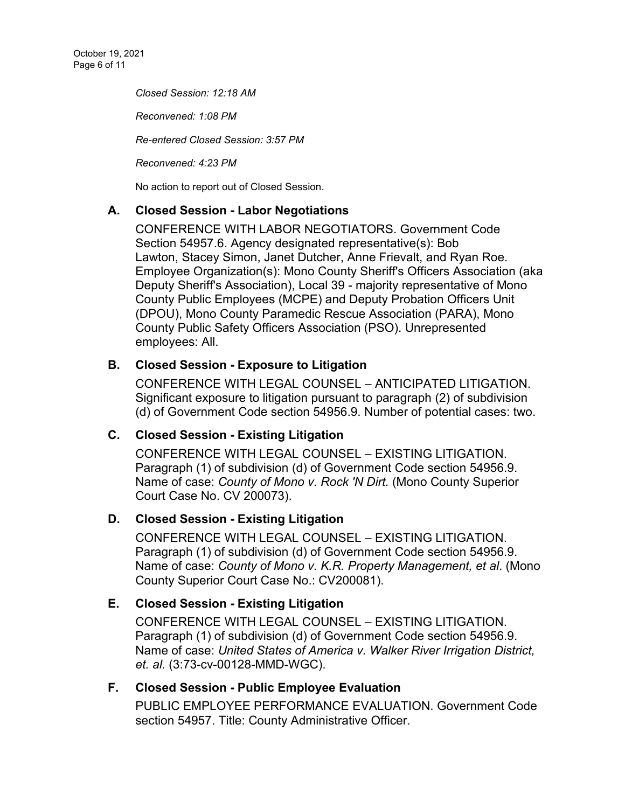*Closed Session: 12:18 AM* 

*Reconvened: 1:08 PM*

*Re-entered Closed Session: 3:57 PM*

*Reconvened: 4:23 PM*

No action to report out of Closed Session.

# **A. Closed Session - [Labor Negotiations](https://agenda.mono.ca.gov/AgendaWeb/CoverSheet.aspx?ItemID=13576&MeetingID=804)**

CONFERENCE WITH LABOR NEGOTIATORS. Government Code Section 54957.6. Agency designated representative(s): Bob Lawton, Stacey Simon, Janet Dutcher, Anne Frievalt, and Ryan Roe. Employee Organization(s): Mono County Sheriff's Officers Association (aka Deputy Sheriff's Association), Local 39 - majority representative of Mono County Public Employees (MCPE) and Deputy Probation Officers Unit (DPOU), Mono County Paramedic Rescue Association (PARA), Mono County Public Safety Officers Association (PSO). Unrepresented employees: All.

# **B. Closed Session - [Exposure to Litigation](https://agenda.mono.ca.gov/AgendaWeb/CoverSheet.aspx?ItemID=13691&MeetingID=804)**

CONFERENCE WITH LEGAL COUNSEL – ANTICIPATED LITIGATION. Significant exposure to litigation pursuant to paragraph (2) of subdivision (d) of Government Code section 54956.9. Number of potential cases: two.

# **C. Closed Session - [Existing Litigation](https://agenda.mono.ca.gov/AgendaWeb/CoverSheet.aspx?ItemID=13682&MeetingID=804)**

CONFERENCE WITH LEGAL COUNSEL – EXISTING LITIGATION. Paragraph (1) of subdivision (d) of Government Code section 54956.9. Name of case: *County of Mono v. Rock 'N Dirt.* (Mono County Superior Court Case No. CV 200073).

# **D. Closed Session - [Existing Litigation](https://agenda.mono.ca.gov/AgendaWeb/CoverSheet.aspx?ItemID=13703&MeetingID=804)**

CONFERENCE WITH LEGAL COUNSEL – EXISTING LITIGATION. Paragraph (1) of subdivision (d) of Government Code section 54956.9. Name of case: *County of Mono v. K.R. Property Management, et al*. (Mono County Superior Court Case No.: CV200081).

# **E. Closed Session - [Existing Litigation](https://agenda.mono.ca.gov/AgendaWeb/CoverSheet.aspx?ItemID=13704&MeetingID=804)**

CONFERENCE WITH LEGAL COUNSEL – EXISTING LITIGATION. Paragraph (1) of subdivision (d) of Government Code section 54956.9. Name of case: *United States of America v. Walker River Irrigation District, et. al.* (3:73-cv-00128-MMD-WGC).

# **F. Closed Session - [Public Employee Evaluation](https://agenda.mono.ca.gov/AgendaWeb/CoverSheet.aspx?ItemID=13389&MeetingID=804)**

PUBLIC EMPLOYEE PERFORMANCE EVALUATION. Government Code section 54957. Title: County Administrative Officer.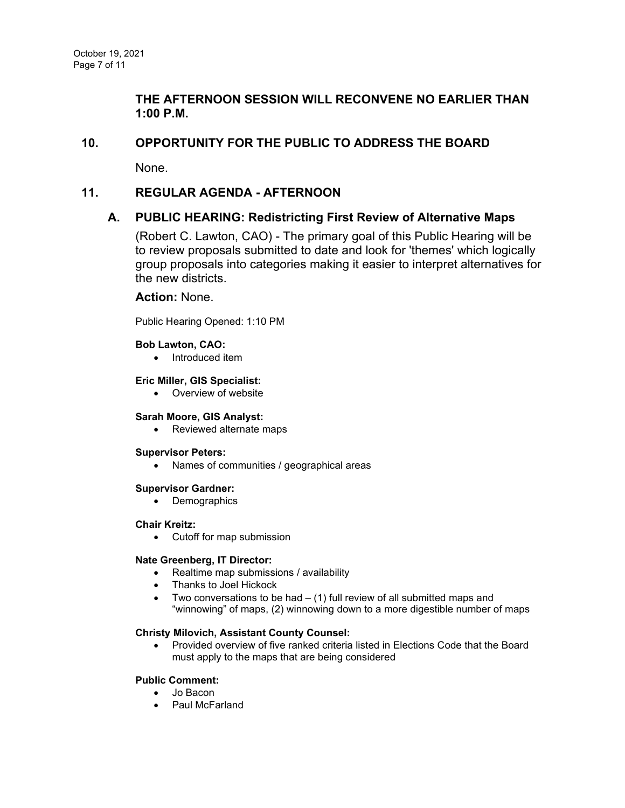# **THE AFTERNOON SESSION WILL RECONVENE NO EARLIER THAN 1:00 P.M.**

## **10. OPPORTUNITY FOR THE PUBLIC TO ADDRESS THE BOARD**

None.

## **11. REGULAR AGENDA - AFTERNOON**

## **A. [PUBLIC HEARING: Redistricting First Review of Alternative Maps](https://agenda.mono.ca.gov/AgendaWeb/CoverSheet.aspx?ItemID=13627&MeetingID=804)**

(Robert C. Lawton, CAO) - The primary goal of this Public Hearing will be to review proposals submitted to date and look for 'themes' which logically group proposals into categories making it easier to interpret alternatives for the new districts.

### **Action:** None.

Public Hearing Opened: 1:10 PM

#### **Bob Lawton, CAO:**

• Introduced item

#### **Eric Miller, GIS Specialist:**

• Overview of website

#### **Sarah Moore, GIS Analyst:**

• Reviewed alternate maps

#### **Supervisor Peters:**

• Names of communities / geographical areas

#### **Supervisor Gardner:**

• Demographics

#### **Chair Kreitz:**

• Cutoff for map submission

#### **Nate Greenberg, IT Director:**

- Realtime map submissions / availability
- Thanks to Joel Hickock
- Two conversations to be had  $-$  (1) full review of all submitted maps and "winnowing" of maps, (2) winnowing down to a more digestible number of maps

#### **Christy Milovich, Assistant County Counsel:**

• Provided overview of five ranked criteria listed in Elections Code that the Board must apply to the maps that are being considered

#### **Public Comment:**

- Jo Bacon
- Paul McFarland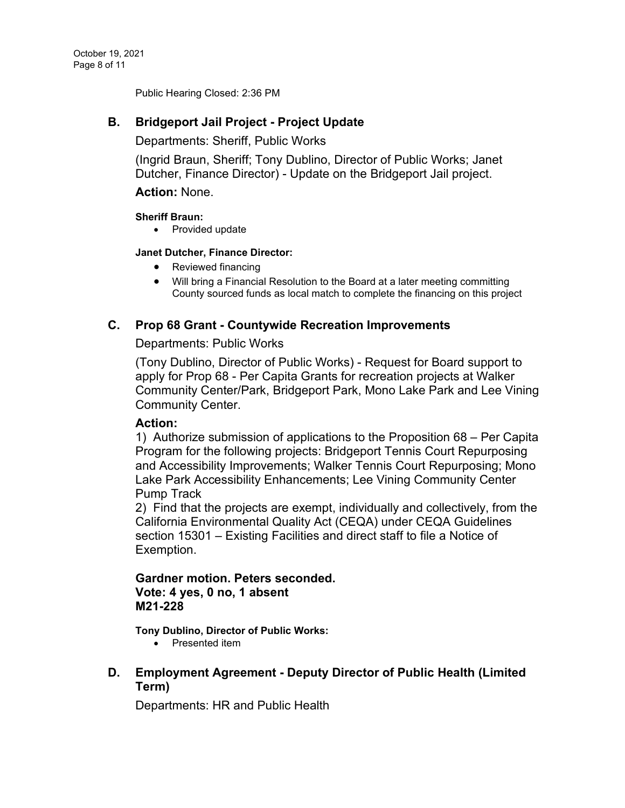Public Hearing Closed: 2:36 PM

# **B. [Bridgeport Jail Project -](https://agenda.mono.ca.gov/AgendaWeb/CoverSheet.aspx?ItemID=13216&MeetingID=804) Project Update**

Departments: Sheriff, Public Works

(Ingrid Braun, Sheriff; Tony Dublino, Director of Public Works; Janet Dutcher, Finance Director) - Update on the Bridgeport Jail project.

### **Action:** None.

### **Sheriff Braun:**

• Provided update

### **Janet Dutcher, Finance Director:**

- Reviewed financing
- Will bring a Financial Resolution to the Board at a later meeting committing County sourced funds as local match to complete the financing on this project

## **C. Prop 68 Grant - [Countywide Recreation Improvements](https://agenda.mono.ca.gov/AgendaWeb/CoverSheet.aspx?ItemID=13648&MeetingID=804)**

Departments: Public Works

(Tony Dublino, Director of Public Works) - Request for Board support to apply for Prop 68 - Per Capita Grants for recreation projects at Walker Community Center/Park, Bridgeport Park, Mono Lake Park and Lee Vining Community Center.

### **Action:**

1) Authorize submission of applications to the Proposition 68 – Per Capita Program for the following projects: Bridgeport Tennis Court Repurposing and Accessibility Improvements; Walker Tennis Court Repurposing; Mono Lake Park Accessibility Enhancements; Lee Vining Community Center Pump Track

2) Find that the projects are exempt, individually and collectively, from the California Environmental Quality Act (CEQA) under CEQA Guidelines section 15301 – Existing Facilities and direct staff to file a Notice of Exemption.

# **Gardner motion. Peters seconded. Vote: 4 yes, 0 no, 1 absent M21-228**

**Tony Dublino, Director of Public Works:**

- Presented item
- **D. Employment Agreement - [Deputy Director of Public Health \(Limited](https://agenda.mono.ca.gov/AgendaWeb/CoverSheet.aspx?ItemID=13699&MeetingID=804)  [Term\)](https://agenda.mono.ca.gov/AgendaWeb/CoverSheet.aspx?ItemID=13699&MeetingID=804)**

Departments: HR and Public Health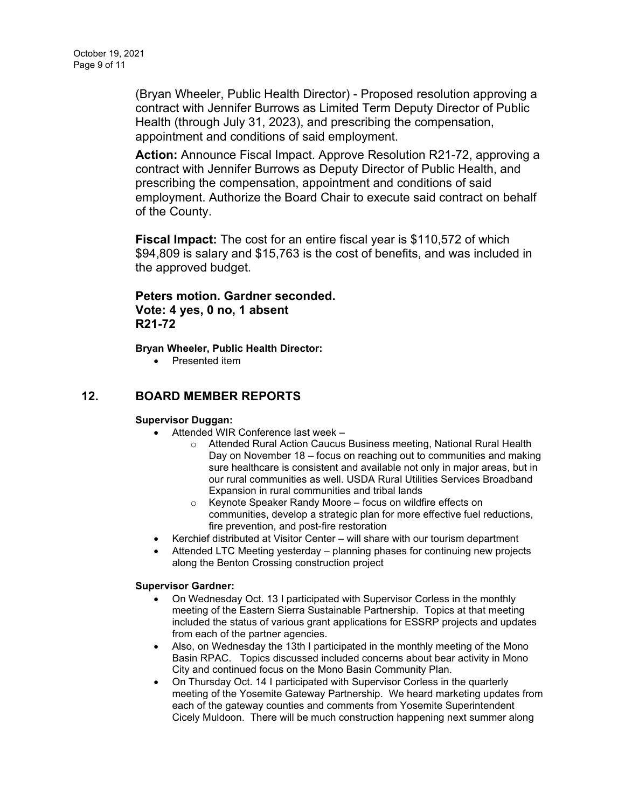(Bryan Wheeler, Public Health Director) - Proposed resolution approving a contract with Jennifer Burrows as Limited Term Deputy Director of Public Health (through July 31, 2023), and prescribing the compensation, appointment and conditions of said employment.

**Action:** Announce Fiscal Impact. Approve Resolution R21-72, approving a contract with Jennifer Burrows as Deputy Director of Public Health, and prescribing the compensation, appointment and conditions of said employment. Authorize the Board Chair to execute said contract on behalf of the County.

**Fiscal Impact:** The cost for an entire fiscal year is \$110,572 of which \$94,809 is salary and \$15,763 is the cost of benefits, and was included in the approved budget.

# **Peters motion. Gardner seconded. Vote: 4 yes, 0 no, 1 absent R21-72**

**Bryan Wheeler, Public Health Director:**

• Presented item

# **12. BOARD MEMBER REPORTS**

### **Supervisor Duggan:**

- Attended WIR Conference last week
	- o Attended Rural Action Caucus Business meeting, National Rural Health Day on November 18 – focus on reaching out to communities and making sure healthcare is consistent and available not only in major areas, but in our rural communities as well. USDA Rural Utilities Services Broadband Expansion in rural communities and tribal lands
	- o Keynote Speaker Randy Moore focus on wildfire effects on communities, develop a strategic plan for more effective fuel reductions, fire prevention, and post-fire restoration
- Kerchief distributed at Visitor Center will share with our tourism department
- Attended LTC Meeting yesterday planning phases for continuing new projects along the Benton Crossing construction project

#### **Supervisor Gardner:**

- On Wednesday Oct. 13 I participated with Supervisor Corless in the monthly meeting of the Eastern Sierra Sustainable Partnership. Topics at that meeting included the status of various grant applications for ESSRP projects and updates from each of the partner agencies.
- Also, on Wednesday the 13th I participated in the monthly meeting of the Mono Basin RPAC. Topics discussed included concerns about bear activity in Mono City and continued focus on the Mono Basin Community Plan.
- On Thursday Oct. 14 I participated with Supervisor Corless in the quarterly meeting of the Yosemite Gateway Partnership. We heard marketing updates from each of the gateway counties and comments from Yosemite Superintendent Cicely Muldoon. There will be much construction happening next summer along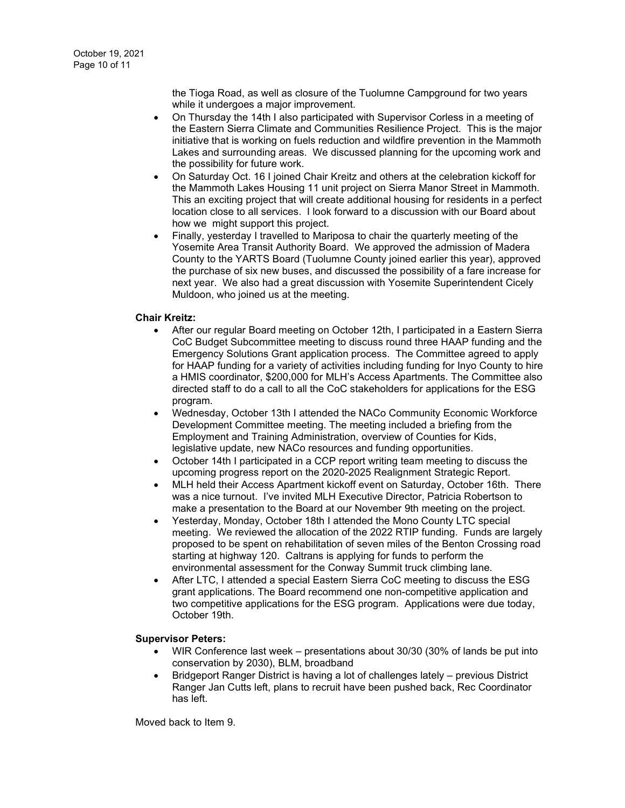the Tioga Road, as well as closure of the Tuolumne Campground for two years while it undergoes a major improvement.

- On Thursday the 14th I also participated with Supervisor Corless in a meeting of the Eastern Sierra Climate and Communities Resilience Project. This is the major initiative that is working on fuels reduction and wildfire prevention in the Mammoth Lakes and surrounding areas. We discussed planning for the upcoming work and the possibility for future work.
- On Saturday Oct. 16 I joined Chair Kreitz and others at the celebration kickoff for the Mammoth Lakes Housing 11 unit project on Sierra Manor Street in Mammoth. This an exciting project that will create additional housing for residents in a perfect location close to all services. I look forward to a discussion with our Board about how we might support this project.
- Finally, yesterday I travelled to Mariposa to chair the quarterly meeting of the Yosemite Area Transit Authority Board. We approved the admission of Madera County to the YARTS Board (Tuolumne County joined earlier this year), approved the purchase of six new buses, and discussed the possibility of a fare increase for next year. We also had a great discussion with Yosemite Superintendent Cicely Muldoon, who joined us at the meeting.

#### **Chair Kreitz:**

- After our regular Board meeting on October 12th, I participated in a Eastern Sierra CoC Budget Subcommittee meeting to discuss round three HAAP funding and the Emergency Solutions Grant application process. The Committee agreed to apply for HAAP funding for a variety of activities including funding for Inyo County to hire a HMIS coordinator, \$200,000 for MLH's Access Apartments. The Committee also directed staff to do a call to all the CoC stakeholders for applications for the ESG program.
- Wednesday, October 13th I attended the NACo Community Economic Workforce Development Committee meeting. The meeting included a briefing from the Employment and Training Administration, overview of Counties for Kids, legislative update, new NACo resources and funding opportunities.
- October 14th I participated in a CCP report writing team meeting to discuss the upcoming progress report on the 2020-2025 Realignment Strategic Report.
- MLH held their Access Apartment kickoff event on Saturday, October 16th. There was a nice turnout. I've invited MLH Executive Director, Patricia Robertson to make a presentation to the Board at our November 9th meeting on the project.
- Yesterday, Monday, October 18th I attended the Mono County LTC special meeting. We reviewed the allocation of the 2022 RTIP funding. Funds are largely proposed to be spent on rehabilitation of seven miles of the Benton Crossing road starting at highway 120. Caltrans is applying for funds to perform the environmental assessment for the Conway Summit truck climbing lane.
- After LTC, I attended a special Eastern Sierra CoC meeting to discuss the ESG grant applications. The Board recommend one non-competitive application and two competitive applications for the ESG program. Applications were due today, October 19th.

#### **Supervisor Peters:**

- WIR Conference last week presentations about 30/30 (30% of lands be put into conservation by 2030), BLM, broadband
- Bridgeport Ranger District is having a lot of challenges lately previous District Ranger Jan Cutts left, plans to recruit have been pushed back, Rec Coordinator has left.

Moved back to Item 9.